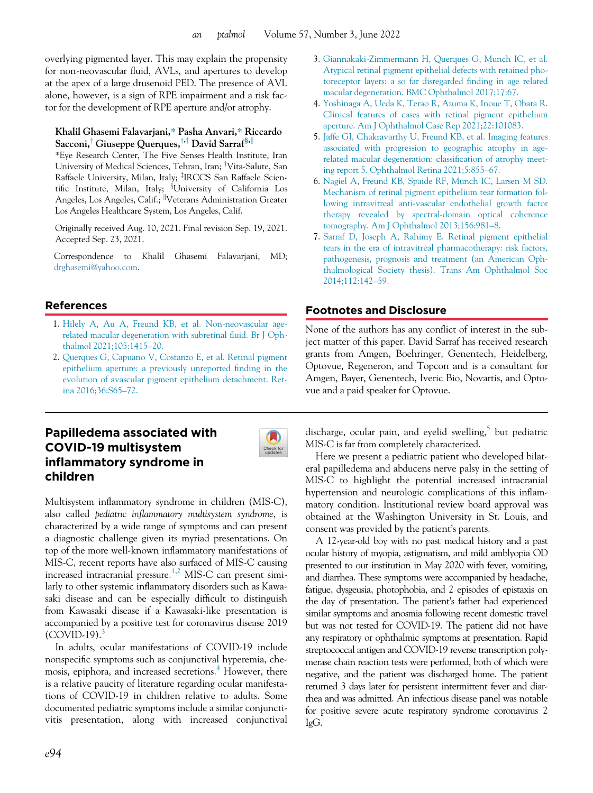overlying pigmented layer. This may explain the propensity for non-neovascular fluid, AVLs, and apertures to develop at the apex of a large drusenoid PED. The presence of AVL alone, however, is a sign of RPE impairment and a risk factor for the development of RPE aperture and/or atrophy.

#### Khalil Ghasemi Falavarjani,\* Pasha Anvari,\* Riccardo Sacconi,<sup>†</sup> Giuseppe Querques,<sup>†,‡</sup> David Sarraf<sup>§,||</sup>

\*Eye Research Center, The Five Senses Health Institute, Iran University of Medical Sciences, Tehran, Iran; †Vita-Salute, San Raffaele University, Milan, Italy; <sup>‡</sup>IRCCS San Raffaele Scientific Institute, Milan, Italy; <sup>§</sup>University of California Los Angeles, Los Angeles, Calif.; <sup>||</sup>Veterans Administration Greater Los Angeles Healthcare System, Los Angeles, Calif.

Originally received Aug. 10, 2021. Final revision Sep. 19, 2021. Accepted Sep. 23, 2021.

Correspondence to Khalil Ghasemi Falavarjani, MD; [drghasemi@yahoo.com.](mailto:drghasemi@yahoo.com)

## References

- 1. [Hilely A, Au A, Freund KB, et al. Non-neovascular age](http://refhub.elsevier.com/S0008-4182(21)00301-X/sbref0001_2249)[related macular degeneration with subretinal](http://refhub.elsevier.com/S0008-4182(21)00301-X/sbref0001_2249) fluid. Br J Oph[thalmol 2021;105:1415](http://refhub.elsevier.com/S0008-4182(21)00301-X/sbref0001_2249)–20.
- 2. [Querques G, Capuano V, Costanzo E, et al. Retinal pigment](http://refhub.elsevier.com/S0008-4182(21)00301-X/sbref0002_2249) [epithelium aperture: a previously unreported](http://refhub.elsevier.com/S0008-4182(21)00301-X/sbref0002_2249) finding in the [evolution of avascular pigment epithelium detachment. Ret](http://refhub.elsevier.com/S0008-4182(21)00301-X/sbref0002_2249)[ina 2016;36:S65](http://refhub.elsevier.com/S0008-4182(21)00301-X/sbref0002_2249)–72.

# Papilledema associated with COVID-19 multisystem inflammatory syndrome in children



Multisystem inflammatory syndrome in children (MIS-C), also called pediatric inflammatory multisystem syndrome, is characterized by a wide range of symptoms and can present a diagnostic challenge given its myriad presentations. On top of the more well-known inflammatory manifestations of MIS-C, recent reports have also surfaced of MIS-C causing increased intracranial pressure.<sup>[1,](#page-2-0)[2](#page-2-1)</sup> MIS-C can present similarly to other systemic inflammatory disorders such as Kawasaki disease and can be especially difficult to distinguish from Kawasaki disease if a Kawasaki-like presentation is accompanied by a positive test for coronavirus disease 2019  $(COVID-19)$ .

In adults, ocular manifestations of COVID-19 include nonspecific symptoms such as conjunctival hyperemia, che-mosis, epiphora, and increased secretions.<sup>[4](#page-2-3)</sup> However, there is a relative paucity of literature regarding ocular manifestations of COVID-19 in children relative to adults. Some documented pediatric symptoms include a similar conjunctivitis presentation, along with increased conjunctival

- 3. [Giannakaki-Zimmermann H, Querques G, Munch IC, et al.](http://refhub.elsevier.com/S0008-4182(21)00301-X/sbref0003_2249) [Atypical retinal pigment epithelial defects with retained pho](http://refhub.elsevier.com/S0008-4182(21)00301-X/sbref0003_2249)[toreceptor layers: a so far disregarded](http://refhub.elsevier.com/S0008-4182(21)00301-X/sbref0003_2249) finding in age related [macular degeneration. BMC Ophthalmol 2017;17:67.](http://refhub.elsevier.com/S0008-4182(21)00301-X/sbref0003_2249)
- 4. [Yoshinaga A, Ueda K, Terao R, Azuma K, Inoue T, Obata R.](http://refhub.elsevier.com/S0008-4182(21)00301-X/sbref0004_2249) [Clinical features of cases with retinal pigment epithelium](http://refhub.elsevier.com/S0008-4182(21)00301-X/sbref0004_2249) [aperture. Am J Ophthalmol Case Rep 2021;22:101083.](http://refhub.elsevier.com/S0008-4182(21)00301-X/sbref0004_2249)
- 5. [Jaffe GJ, Chakravarthy U, Freund KB, et al. Imaging features](http://refhub.elsevier.com/S0008-4182(21)00301-X/sbref0005_2249) [associated with progression to geographic atrophy in age](http://refhub.elsevier.com/S0008-4182(21)00301-X/sbref0005_2249)[related macular degeneration: classi](http://refhub.elsevier.com/S0008-4182(21)00301-X/sbref0005_2249)fication of atrophy meet[ing report 5. Ophthalmol Retina 2021;5:855](http://refhub.elsevier.com/S0008-4182(21)00301-X/sbref0005_2249)–67.
- 6. [Nagiel A, Freund KB, Spaide RF, Munch IC, Larsen M SD.](http://refhub.elsevier.com/S0008-4182(21)00301-X/sbref0006_2249) [Mechanism of retinal pigment epithelium tear formation fol](http://refhub.elsevier.com/S0008-4182(21)00301-X/sbref0006_2249)[lowing intravitreal anti-vascular endothelial growth factor](http://refhub.elsevier.com/S0008-4182(21)00301-X/sbref0006_2249) [therapy revealed by spectral-domain optical coherence](http://refhub.elsevier.com/S0008-4182(21)00301-X/sbref0006_2249) [tomography. Am J Ophthalmol 2013;156:981](http://refhub.elsevier.com/S0008-4182(21)00301-X/sbref0006_2249)–8.
- 7. [Sarraf D, Joseph A, Rahimy E. Retinal pigment epithelial](http://refhub.elsevier.com/S0008-4182(21)00301-X/sbref0007_2249) [tears in the era of intravitreal pharmacotherapy: risk factors,](http://refhub.elsevier.com/S0008-4182(21)00301-X/sbref0007_2249) [pathogenesis, prognosis and treatment \(an American Oph](http://refhub.elsevier.com/S0008-4182(21)00301-X/sbref0007_2249)[thalmological Society thesis\). Trans Am Ophthalmol Soc](http://refhub.elsevier.com/S0008-4182(21)00301-X/sbref0007_2249) [2014;112:142](http://refhub.elsevier.com/S0008-4182(21)00301-X/sbref0007_2249)–59.

## Footnotes and Disclosure

None of the authors has any conflict of interest in the subject matter of this paper. David Sarraf has received research grants from Amgen, Boehringer, Genentech, Heidelberg, Optovue, Regeneron, and Topcon and is a consultant for Amgen, Bayer, Genentech, Iveric Bio, Novartis, and Optovue and a paid speaker for Optovue.

discharge, ocular pain, and eyelid swelling, $5$  but pediatric MIS-C is far from completely characterized.

Here we present a pediatric patient who developed bilateral papilledema and abducens nerve palsy in the setting of MIS-C to highlight the potential increased intracranial hypertension and neurologic complications of this inflammatory condition. Institutional review board approval was obtained at the Washington University in St. Louis, and consent was provided by the patient's parents.

A 12-year-old boy with no past medical history and a past ocular history of myopia, astigmatism, and mild amblyopia OD presented to our institution in May 2020 with fever, vomiting, and diarrhea. These symptoms were accompanied by headache, fatigue, dysgeusia, photophobia, and 2 episodes of epistaxis on the day of presentation. The patient's father had experienced similar symptoms and anosmia following recent domestic travel but was not tested for COVID-19. The patient did not have any respiratory or ophthalmic symptoms at presentation. Rapid streptococcal antigen and COVID-19 reverse transcription polymerase chain reaction tests were performed, both of which were negative, and the patient was discharged home. The patient returned 3 days later for persistent intermittent fever and diarrhea and was admitted. An infectious disease panel was notable for positive severe acute respiratory syndrome coronavirus 2 IgG.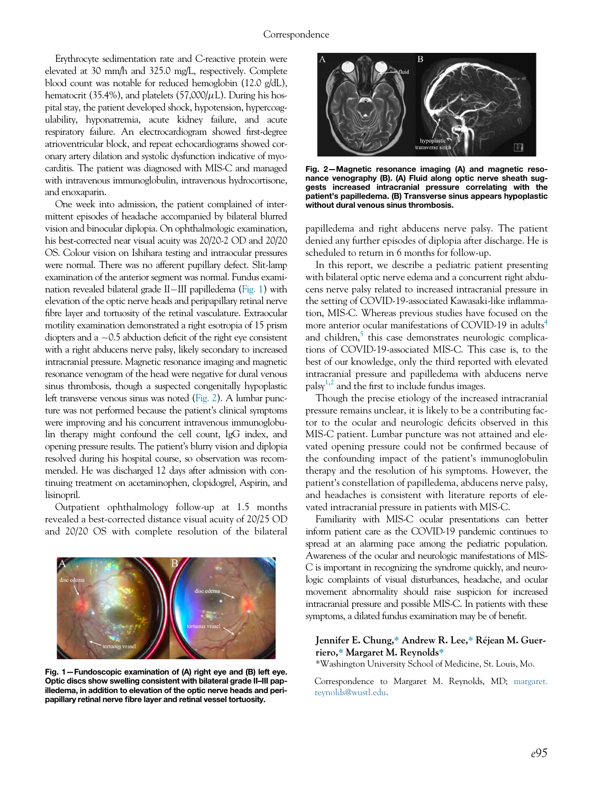<span id="page-1-1"></span>Erythrocyte sedimentation rate and C-reactive protein were elevated at 30 mm/h and 325.0 mg/L, respectively. Complete blood count was notable for reduced hemoglobin (12.0 g/dL), hematocrit (35.4%), and platelets (57,000/ $\mu$ L). During his hospital stay, the patient developed shock, hypotension, hypercoagulability, hyponatremia, acute kidney failure, and acute respiratory failure. An electrocardiogram showed first-degree atrioventricular block, and repeat echocardiograms showed coronary artery dilation and systolic dysfunction indicative of myocarditis. The patient was diagnosed with MIS-C and managed with intravenous immunoglobulin, intravenous hydrocortisone, and enoxaparin.

One week into admission, the patient complained of intermittent episodes of headache accompanied by bilateral blurred vision and binocular diplopia. On ophthalmologic examination, his best-corrected near visual acuity was 20/20-2 OD and 20/20 OS. Colour vision on Ishihara testing and intraocular pressures were normal. There was no afferent pupillary defect. Slit-lamp examination of the anterior segment was normal. Fundus examination revealed bilateral grade II-III papilledema ([Fig. 1\)](#page-1-0) with elevation of the optic nerve heads and peripapillary retinal nerve fibre layer and tortuosity of the retinal vasculature. Extraocular motility examination demonstrated a right esotropia of 15 prism diopters and a -0.5 abduction deficit of the right eye consistent with a right abducens nerve palsy, likely secondary to increased intracranial pressure. Magnetic resonance imaging and magnetic resonance venogram of the head were negative for dural venous sinus thrombosis, though a suspected congenitally hypoplastic left transverse venous sinus was noted [\(Fig. 2\)](#page-1-1). A lumbar puncture was not performed because the patient's clinical symptoms were improving and his concurrent intravenous immunoglobulin therapy might confound the cell count, IgG index, and opening pressure results. The patient's blurry vision and diplopia resolved during his hospital course, so observation was recommended. He was discharged 12 days after admission with continuing treatment on acetaminophen, clopidogrel, Aspirin, and lisinopril.

Outpatient ophthalmology follow-up at 1.5 months revealed a best-corrected distance visual acuity of 20/25 OD and 20/20 OS with complete resolution of the bilateral

<span id="page-1-0"></span>

Fig. 1—Fundoscopic examination of (A) right eye and (B) left eye. Optic discs show swelling consistent with bilateral grade II–III papilledema, in addition to elevation of the optic nerve heads and peripapillary retinal nerve fibre layer and retinal vessel tortuosity.



Fig. 2—Magnetic resonance imaging (A) and magnetic resonance venography (B). (A) Fluid along optic nerve sheath suggests increased intracranial pressure correlating with the patient's papilledema. (B) Transverse sinus appears hypoplastic without dural venous sinus thrombosis.

papilledema and right abducens nerve palsy. The patient denied any further episodes of diplopia after discharge. He is scheduled to return in 6 months for follow-up.

In this report, we describe a pediatric patient presenting with bilateral optic nerve edema and a concurrent right abducens nerve palsy related to increased intracranial pressure in the setting of COVID-19-associated Kawasaki-like inflammation, MIS-C. Whereas previous studies have focused on the more anterior ocular manifestations of COVID-19 in adults<sup>4</sup> and children,<sup>5</sup> this case demonstrates neurologic complications of COVID-19-associated MIS-C. This case is, to the best of our knowledge, only the third reported with elevated intracranial pressure and papilledema with abducens nerve palsy $^{1,2}$  $^{1,2}$  $^{1,2}$  $^{1,2}$  and the first to include fundus images.

Though the precise etiology of the increased intracranial pressure remains unclear, it is likely to be a contributing factor to the ocular and neurologic deficits observed in this MIS-C patient. Lumbar puncture was not attained and elevated opening pressure could not be confirmed because of the confounding impact of the patient's immunoglobulin therapy and the resolution of his symptoms. However, the patient's constellation of papilledema, abducens nerve palsy, and headaches is consistent with literature reports of elevated intracranial pressure in patients with MIS-C.

Familiarity with MIS-C ocular presentations can better inform patient care as the COVID-19 pandemic continues to spread at an alarming pace among the pediatric population. Awareness of the ocular and neurologic manifestations of MIS-C is important in recognizing the syndrome quickly, and neurologic complaints of visual disturbances, headache, and ocular movement abnormality should raise suspicion for increased intracranial pressure and possible MIS-C. In patients with these symptoms, a dilated fundus examination may be of benefit.

#### Jennifer E. Chung,\* Andrew R. Lee,\* Rejean M. Guerriero,\* Margaret M. Reynolds\*

\*Washington University School of Medicine, St. Louis, Mo.

Correspondence to Margaret M. Reynolds, MD; [margaret.](mailto:margaret.reynolds@wustl.edu) [reynolds@wustl.edu.](mailto:margaret.reynolds@wustl.edu)